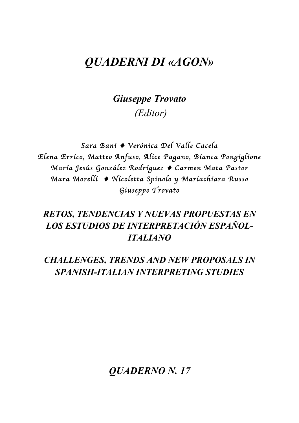# *QUADERNI DI «AGON»*

# *Giuseppe Trovato (Editor)*

*Sara Bani* ♦ *Ver*ó*nica Del Valle Cacela Elena Errico, Matteo Anfuso, Alice Pagano, Bianca Pongiglione Mar*í*a Jes*ú*s Gonz*á*lez Rodr*í*guez* ♦ *Carmen Mata Pastor Mara Morelli* ♦ *Nicoletta Spinolo y Mariachiara Russo Giuseppe Trovato* 

## *RETOS, TENDENCIAS Y NUEVAS PROPUESTAS EN LOS ESTUDIOS DE INTERPRETACIÓN ESPAÑOL-ITALIANO*

*CHALLENGES, TRENDS AND NEW PROPOSALS IN SPANISH-ITALIAN INTERPRETING STUDIES*

*QUADERNO N. 17*